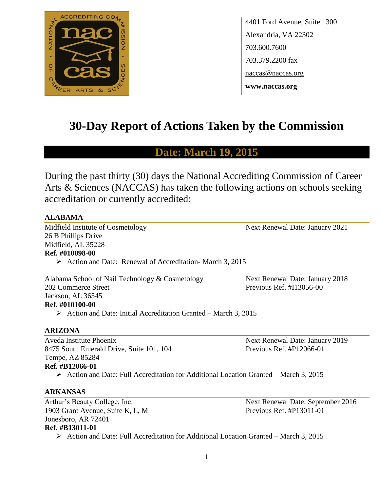

4401 Ford Avenue, Suite 1300 Alexandria, VA 22302 703.600.7600 703.379.2200 fax naccas@naccas.org **www.naccas.org**

# **30-Day Report of Actions Taken by the Commission**

## **Date: March 19, 2015**

During the past thirty (30) days the National Accrediting Commission of Career Arts & Sciences (NACCAS) has taken the following actions on schools seeking accreditation or currently accredited:

#### **ALABAMA**

Midfield Institute of Cosmetology Next Renewal Date: January 2021 26 B Phillips Drive Midfield, AL 35228 **Ref. #010098-00**

Action and Date: Renewal of Accreditation-March 3, 2015

Alabama School of Nail Technology & Cosmetology Next Renewal Date: January 2018 202 Commerce Street Previous Ref. #I13056-00 Jackson, AL 36545 **Ref. #010100-00**

 $\triangleright$  Action and Date: Initial Accreditation Granted – March 3, 2015

#### **ARIZONA**

Aveda Institute Phoenix Next Renewal Date: January 2019 8475 South Emerald Drive, Suite 101, 104 Previous Ref. #P12066-01 Tempe, AZ 85284 **Ref. #B12066-01**

Action and Date: Full Accreditation for Additional Location Granted – March 3, 2015

#### **ARKANSAS**

Arthur's Beauty College, Inc. Next Renewal Date: September 2016 1903 Grant Avenue, Suite K, L, M Previous Ref. #P13011-01 Jonesboro, AR 72401 **Ref. #B13011-01**

Action and Date: Full Accreditation for Additional Location Granted – March 3, 2015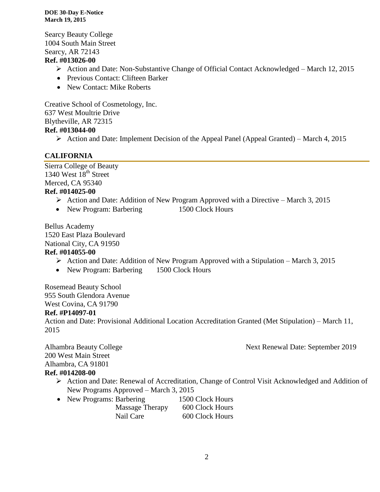Searcy Beauty College 1004 South Main Street Searcy, AR 72143

#### **Ref. #013026-00**

- Action and Date: Non-Substantive Change of Official Contact Acknowledged March 12, 2015
- Previous Contact: Clifteen Barker
- New Contact: Mike Roberts

Creative School of Cosmetology, Inc. 637 West Moultrie Drive Blytheville, AR 72315 **Ref. #013044-00**

Action and Date: Implement Decision of the Appeal Panel (Appeal Granted) – March 4, 2015

#### **CALIFORNIA**

Sierra College of Beauty 1340 West  $18<sup>th</sup>$  Street Merced, CA 95340 **Ref. #014025-00**

- $\triangleright$  Action and Date: Addition of New Program Approved with a Directive March 3, 2015
- New Program: Barbering 1500 Clock Hours

Bellus Academy 1520 East Plaza Boulevard National City, CA 91950

#### **Ref. #014055-00**

- $\triangleright$  Action and Date: Addition of New Program Approved with a Stipulation March 3, 2015
- New Program: Barbering 1500 Clock Hours

Rosemead Beauty School 955 South Glendora Avenue West Covina, CA 91790

#### **Ref. #P14097-01**

Action and Date: Provisional Additional Location Accreditation Granted (Met Stipulation) – March 11, 2015

Alhambra Beauty College **Next Renewal Date: September 2019** 200 West Main Street Alhambra, CA 91801 **Ref. #014208-00**

- Action and Date: Renewal of Accreditation, Change of Control Visit Acknowledged and Addition of New Programs Approved – March 3, 2015
- New Programs: Barbering 1500 Clock Hours Massage Therapy 600 Clock Hours Nail Care 600 Clock Hours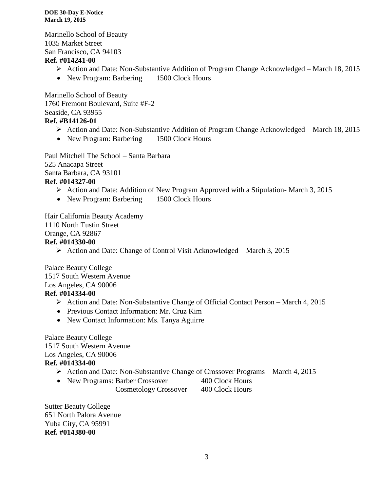Marinello School of Beauty 1035 Market Street San Francisco, CA 94103

#### **Ref. #014241-00**

- Action and Date: Non-Substantive Addition of Program Change Acknowledged March 18, 2015
- New Program: Barbering 1500 Clock Hours

Marinello School of Beauty 1760 Fremont Boulevard, Suite #F-2 Seaside, CA 93955 **Ref. #B14126-01**

- Action and Date: Non-Substantive Addition of Program Change Acknowledged March 18, 2015
- New Program: Barbering 1500 Clock Hours

Paul Mitchell The School – Santa Barbara 525 Anacapa Street Santa Barbara, CA 93101 **Ref. #014327-00**

- $\triangleright$  Action and Date: Addition of New Program Approved with a Stipulation-March 3, 2015
- New Program: Barbering 1500 Clock Hours

Hair California Beauty Academy 1110 North Tustin Street Orange, CA 92867 **Ref. #014330-00**

 $\triangleright$  Action and Date: Change of Control Visit Acknowledged – March 3, 2015

Palace Beauty College 1517 South Western Avenue Los Angeles, CA 90006 **Ref. #014334-00**

- Action and Date: Non-Substantive Change of Official Contact Person March 4, 2015
- Previous Contact Information: Mr. Cruz Kim
- New Contact Information: Ms. Tanya Aguirre

Palace Beauty College 1517 South Western Avenue Los Angeles, CA 90006

#### **Ref. #014334-00**

- $\triangleright$  Action and Date: Non-Substantive Change of Crossover Programs March 4, 2015
- New Programs: Barber Crossover 400 Clock Hours

Cosmetology Crossover 400 Clock Hours

Sutter Beauty College 651 North Palora Avenue Yuba City, CA 95991 **Ref. #014380-00**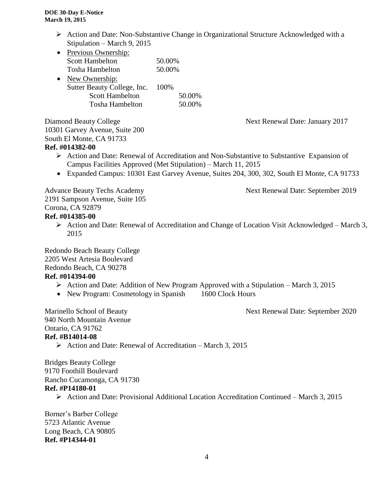- $\triangleright$  Action and Date: Non-Substantive Change in Organizational Structure Acknowledged with a Stipulation – March 9, 2015
- Previous Ownership: Scott Hambelton 50.00% Tosha Hambelton 50.00% • New Ownership: Sutter Beauty College, Inc. 100%
	- Scott Hambelton 50.00% Tosha Hambelton 50.00%

Diamond Beauty College Next Renewal Date: January 2017 10301 Garvey Avenue, Suite 200 South El Monte, CA 91733 **Ref. #014382-00**

- $\triangleright$  Action and Date: Renewal of Accreditation and Non-Substantive to Substantive Expansion of Campus Facilities Approved (Met Stipulation) – March 11, 2015
- Expanded Campus: 10301 East Garvey Avenue, Suites 204, 300, 302, South El Monte, CA 91733

## Advance Beauty Techs Academy Next Renewal Date: September 2019

2191 Sampson Avenue, Suite 105 Corona, CA 92879

## **Ref. #014385-00**

 Action and Date: Renewal of Accreditation and Change of Location Visit Acknowledged – March 3, 2015

Redondo Beach Beauty College 2205 West Artesia Boulevard

Redondo Beach, CA 90278

#### **Ref. #014394-00**

- Action and Date: Addition of New Program Approved with a Stipulation March 3, 2015
- New Program: Cosmetology in Spanish 1600 Clock Hours

Marinello School of Beauty Next Renewal Date: September 2020 940 North Mountain Avenue Ontario, CA 91762

#### **Ref. #B14014-08**

 $\triangleright$  Action and Date: Renewal of Accreditation – March 3, 2015

Bridges Beauty College 9170 Foothill Boulevard Rancho Cucamonga, CA 91730

#### **Ref. #P14180-01**

Action and Date: Provisional Additional Location Accreditation Continued – March 3, 2015

Borner's Barber College 5723 Atlantic Avenue Long Beach, CA 90805 **Ref. #P14344-01**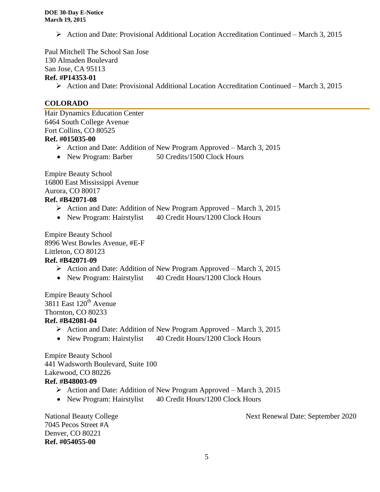Action and Date: Provisional Additional Location Accreditation Continued – March 3, 2015

Paul Mitchell The School San Jose

130 Almaden Boulevard

San Jose, CA 95113

#### **Ref. #P14353-01**

Action and Date: Provisional Additional Location Accreditation Continued – March 3, 2015

## **COLORADO**

Hair Dynamics Education Center 6464 South College Avenue Fort Collins, CO 80525 **Ref. #015035-00**

- $\triangleright$  Action and Date: Addition of New Program Approved March 3, 2015
- New Program: Barber 50 Credits/1500 Clock Hours

Empire Beauty School 16800 East Mississippi Avenue Aurora, CO 80017

## **Ref. #B42071-08**

- $\triangleright$  Action and Date: Addition of New Program Approved March 3, 2015
- New Program: Hairstylist 40 Credit Hours/1200 Clock Hours

Empire Beauty School 8996 West Bowles Avenue, #E-F Littleton, CO 80123

## **Ref. #B42071-09**

- $\triangleright$  Action and Date: Addition of New Program Approved March 3, 2015
- New Program: Hairstylist 40 Credit Hours/1200 Clock Hours

Empire Beauty School 3811 East  $120^{th}$  Avenue Thornton, CO 80233 **Ref. #B42081-04**

- $\triangleright$  Action and Date: Addition of New Program Approved March 3, 2015
- New Program: Hairstylist 40 Credit Hours/1200 Clock Hours

Empire Beauty School 441 Wadsworth Boulevard, Suite 100 Lakewood, CO 80226 **Ref. #B48003-09**

- $\triangleright$  Action and Date: Addition of New Program Approved March 3, 2015
- New Program: Hairstylist 40 Credit Hours/1200 Clock Hours

7045 Pecos Street #A Denver, CO 80221 **Ref. #054055-00**

National Beauty College Next Renewal Date: September 2020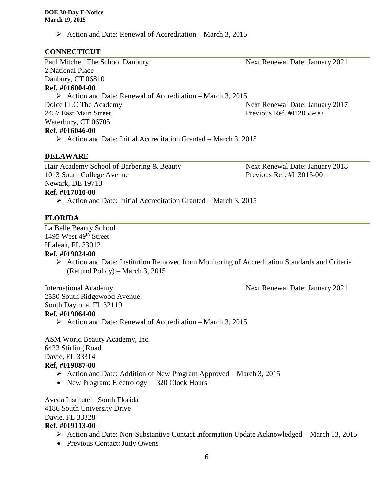$\triangleright$  Action and Date: Renewal of Accreditation – March 3, 2015

#### **CONNECTICUT**

Paul Mitchell The School Danbury Next Renewal Date: January 2021 2 National Place Danbury, CT 06810 **Ref. #016004-00**

 $\triangleright$  Action and Date: Renewal of Accreditation – March 3, 2015 Dolce LLC The Academy Next Renewal Date: January 2017 2457 East Main Street Previous Ref. #I12053-00 Waterbury, CT 06705

## **Ref. #016046-00**

 $\triangleright$  Action and Date: Initial Accreditation Granted – March 3, 2015

#### **DELAWARE**

Hair Academy School of Barbering & Beauty Next Renewal Date: January 2018 1013 South College Avenue Previous Ref. #I13015-00 Newark, DE 19713 **Ref. #017010-00**

 $\triangleright$  Action and Date: Initial Accreditation Granted – March 3, 2015

#### **FLORIDA**

La Belle Beauty School 1495 West  $49<sup>th</sup>$  Street Hialeah, FL 33012

#### **Ref. #019024-00**

 Action and Date: Institution Removed from Monitoring of Accreditation Standards and Criteria (Refund Policy) – March 3, 2015

International Academy Next Renewal Date: January 2021 2550 South Ridgewood Avenue South Daytona, FL 32119 **Ref. #019064-00**

 $\triangleright$  Action and Date: Renewal of Accreditation – March 3, 2015

ASM World Beauty Academy, Inc. 6423 Stirling Road Davie, FL 33314

#### **Ref, #019087-00**

- $\triangleright$  Action and Date: Addition of New Program Approved March 3, 2015
- New Program: Electrology 320 Clock Hours

Aveda Institute – South Florida 4186 South University Drive Davie, FL 33328 **Ref. #019113-00**

- Action and Date: Non-Substantive Contact Information Update Acknowledged March 13, 2015
- Previous Contact: Judy Owens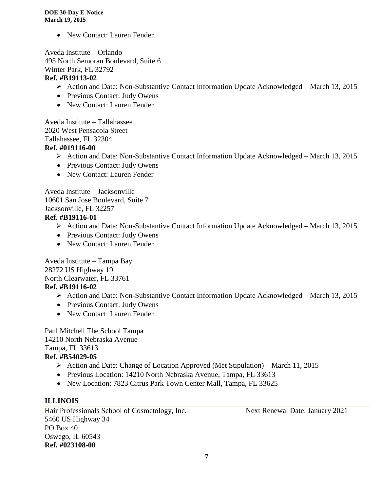• New Contact: Lauren Fender

Aveda Institute – Orlando 495 North Semoran Boulevard, Suite 6 Winter Park, FL 32792 **Ref. #B19113-02**

- Action and Date: Non-Substantive Contact Information Update Acknowledged March 13, 2015
- Previous Contact: Judy Owens
- New Contact: Lauren Fender

Aveda Institute – Tallahassee 2020 West Pensacola Street Tallahassee, FL 32304

#### **Ref. #019116-00**

- Action and Date: Non-Substantive Contact Information Update Acknowledged March 13, 2015
- Previous Contact: Judy Owens
- New Contact: Lauren Fender

Aveda Institute – Jacksonville 10601 San Jose Boulevard, Suite 7 Jacksonville, FL 32257

#### **Ref. #B19116-01**

- Action and Date: Non-Substantive Contact Information Update Acknowledged March 13, 2015
- Previous Contact: Judy Owens
- New Contact: Lauren Fender

Aveda Institute – Tampa Bay 28272 US Highway 19 North Clearwater, FL 33761 **Ref. #B19116-02**

- Action and Date: Non-Substantive Contact Information Update Acknowledged March 13, 2015
- Previous Contact: Judy Owens
- New Contact: Lauren Fender

Paul Mitchell The School Tampa 14210 North Nebraska Avenue Tampa, FL 33613 **Ref. #B54029-05**

- Action and Date: Change of Location Approved (Met Stipulation) March 11, 2015
- Previous Location: 14210 North Nebraska Avenue, Tampa, FL 33613
- New Location: 7823 Citrus Park Town Center Mall, Tampa, FL 33625

#### **ILLINOIS**

Hair Professionals School of Cosmetology, Inc. Next Renewal Date: January 2021 5460 US Highway 34 PO Box 40 Oswego, IL 60543 **Ref. #023108-00**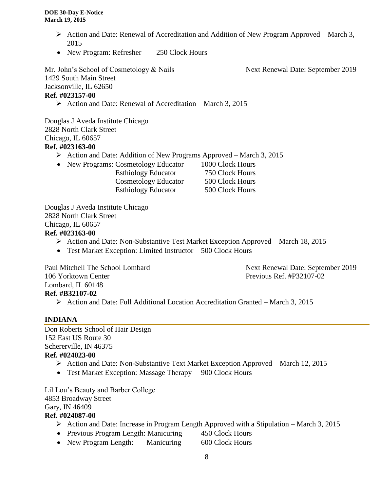- Action and Date: Renewal of Accreditation and Addition of New Program Approved March 3, 2015
- New Program: Refresher 250 Clock Hours

Mr. John's School of Cosmetology & Nails Next Renewal Date: September 2019 1429 South Main Street Jacksonville, IL 62650 **Ref. #023157-00**

 $\triangleright$  Action and Date: Renewal of Accreditation – March 3, 2015

Douglas J Aveda Institute Chicago 2828 North Clark Street Chicago, IL 60657 **Ref. #023163-00**

- $\triangleright$  Action and Date: Addition of New Programs Approved March 3, 2015
- New Programs: Cosmetology Educator 1000 Clock Hours

 Esthiology Educator 750 Clock Hours Cosmetology Educator 500 Clock Hours Esthiology Educator 500 Clock Hours

Douglas J Aveda Institute Chicago 2828 North Clark Street Chicago, IL 60657 **Ref. #023163-00**

- Action and Date: Non-Substantive Test Market Exception Approved March 18, 2015
- Test Market Exception: Limited Instructor 500 Clock Hours

Paul Mitchell The School Lombard Next Renewal Date: September 2019 106 Yorktown Center Previous Ref. #P32107-02 Lombard, IL 60148 **Ref. #B32107-02**

Action and Date: Full Additional Location Accreditation Granted – March 3, 2015

#### **INDIANA**

Don Roberts School of Hair Design 152 East US Route 30 Schererville, IN 46375 **Ref. #024023-00**

- Action and Date: Non-Substantive Text Market Exception Approved March 12, 2015
- Test Market Exception: Massage Therapy 900 Clock Hours

Lil Lou's Beauty and Barber College 4853 Broadway Street Gary, IN 46409

#### **Ref. #024087-00**

- Action and Date: Increase in Program Length Approved with a Stipulation March 3, 2015
- Previous Program Length: Manicuring 450 Clock Hours
- New Program Length: Manicuring 600 Clock Hours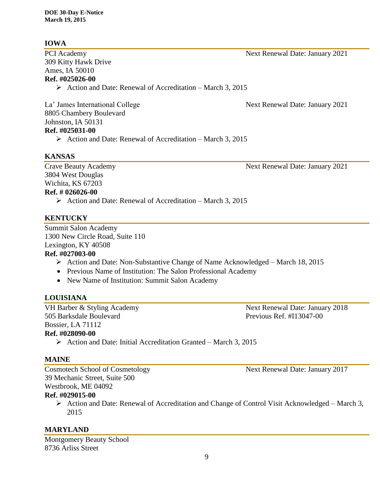## **IOWA**

309 Kitty Hawk Drive Ames, IA 50010 **Ref. #025026-00**

 $\triangleright$  Action and Date: Renewal of Accreditation – March 3, 2015

La' James International College Next Renewal Date: January 2021 8805 Chambery Boulevard Johnston, IA 50131 **Ref. #025031-00**

- - $\triangleright$  Action and Date: Renewal of Accreditation March 3, 2015

## **KANSAS**

3804 West Douglas Wichita, KS 67203 **Ref. # 026026-00**

 $\triangleright$  Action and Date: Renewal of Accreditation – March 3, 2015

## **KENTUCKY**

Summit Salon Academy 1300 New Circle Road, Suite 110 Lexington, KY 40508

#### **Ref. #027003-00**

- $\triangleright$  Action and Date: Non-Substantive Change of Name Acknowledged March 18, 2015
- Previous Name of Institution: The Salon Professional Academy
- New Name of Institution: Summit Salon Academy

## **LOUISIANA**

VH Barber & Styling Academy Next Renewal Date: January 2018 505 Barksdale Boulevard Previous Ref. #I13047-00 Bossier, LA 71112 **Ref. #028090-00**

 $\triangleright$  Action and Date: Initial Accreditation Granted – March 3, 2015

#### **MAINE**

39 Mechanic Street, Suite 500 Westbrook, ME 04092 **Ref. #029015-00**

> Action and Date: Renewal of Accreditation and Change of Control Visit Acknowledged – March 3, 2015

## **MARYLAND**

Montgomery Beauty School 8736 Arliss Street

Crave Beauty Academy **Next Renewal Date: January 2021** 

PCI Academy Next Renewal Date: January 2021

Cosmotech School of Cosmetology Next Renewal Date: January 2017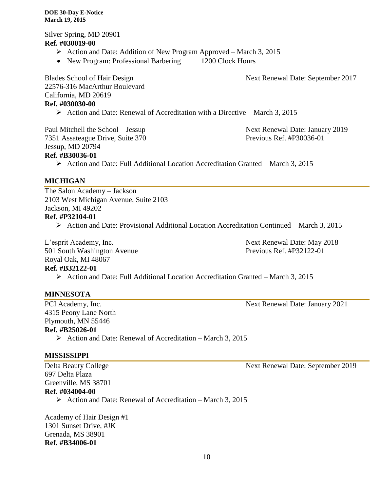Silver Spring, MD 20901 **Ref. #030019-00**

- $\triangleright$  Action and Date: Addition of New Program Approved March 3, 2015
- New Program: Professional Barbering 1200 Clock Hours

Blades School of Hair Design Next Renewal Date: September 2017

22576-316 MacArthur Boulevard California, MD 20619 **Ref. #030030-00**

Action and Date: Renewal of Accreditation with a Directive – March 3, 2015

7351 Assateague Drive, Suite 370 Previous Ref. #P30036-01 Jessup, MD 20794 **Ref. #B30036-01**

Paul Mitchell the School – Jessup Next Renewal Date: January 2019

# $\triangleright$  Action and Date: Full Additional Location Accreditation Granted – March 3, 2015

**MICHIGAN**

The Salon Academy – Jackson 2103 West Michigan Avenue, Suite 2103 Jackson, MI 49202 **Ref. #P32104-01**

Action and Date: Provisional Additional Location Accreditation Continued – March 3, 2015

L'esprit Academy, Inc. Next Renewal Date: May 2018 501 South Washington Avenue Previous Ref. #P32122-01 Royal Oak, MI 48067 **Ref. #B32122-01**

Action and Date: Full Additional Location Accreditation Granted – March 3, 2015

#### **MINNESOTA**

PCI Academy, Inc. Next Renewal Date: January 2021 4315 Peony Lane North Plymouth, MN 55446 **Ref. #B25026-01**

 $\triangleright$  Action and Date: Renewal of Accreditation – March 3, 2015

#### **MISSISSIPPI**

697 Delta Plaza Greenville, MS 38701 **Ref. #034004-00**

 $\triangleright$  Action and Date: Renewal of Accreditation – March 3, 2015

Academy of Hair Design #1 1301 Sunset Drive, #JK Grenada, MS 38901 **Ref. #B34006-01**

Delta Beauty College Next Renewal Date: September 2019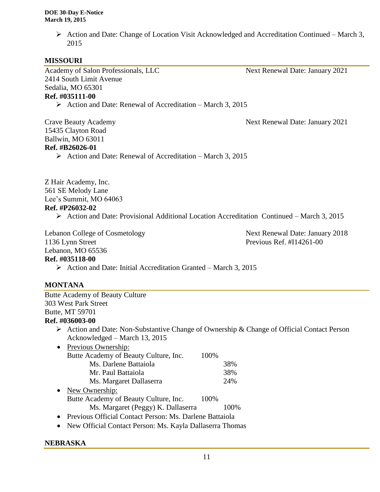$\triangleright$  Action and Date: Change of Location Visit Acknowledged and Accreditation Continued – March 3, 2015

#### **MISSOURI**

Academy of Salon Professionals, LLC Next Renewal Date: January 2021 2414 South Limit Avenue Sedalia, MO 65301

#### **Ref. #035111-00**

 $\triangleright$  Action and Date: Renewal of Accreditation – March 3, 2015

Crave Beauty Academy Next Renewal Date: January 2021 15435 Clayton Road Ballwin, MO 63011 **Ref. #B26026-01**

 $\triangleright$  Action and Date: Renewal of Accreditation – March 3, 2015

Z Hair Academy, Inc. 561 SE Melody Lane Lee's Summit, MO 64063 **Ref. #P26032-02**

 $\triangleright$  Action and Date: Provisional Additional Location Accreditation Continued – March 3, 2015

Lebanon College of Cosmetology Next Renewal Date: January 2018

1136 Lynn Street Previous Ref. #I14261-00

#### Lebanon, MO 65536 **Ref. #035118-00**

 $\triangleright$  Action and Date: Initial Accreditation Granted – March 3, 2015

#### **MONTANA**

Butte Academy of Beauty Culture 303 West Park Street Butte, MT 59701 **Ref. #036003-00**  $\triangleright$  Action and Date: Non-Substantive Change of Ownership & Change of Official Contact Person Acknowledged – March 13, 2015 • Previous Ownership: Butte Academy of Beauty Culture, Inc. 100% Ms. Darlene Battaiola 38% Mr. Paul Battaiola 38% Ms. Margaret Dallaserra 24% • New Ownership: Butte Academy of Beauty Culture, Inc. 100% Ms. Margaret (Peggy) K. Dallaserra 100%

• Previous Official Contact Person: Ms. Darlene Battaiola

New Official Contact Person: Ms. Kayla Dallaserra Thomas

#### **NEBRASKA**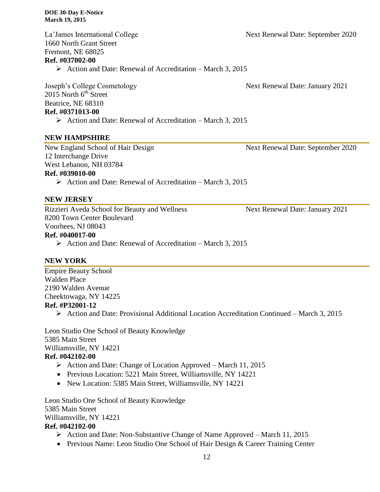1660 North Grant Street Fremont, NE 68025 **Ref. #037002-00**

#### $\triangleright$  Action and Date: Renewal of Accreditation – March 3, 2015

Joseph's College Cosmetology Next Renewal Date: January 2021  $2015$  North  $6<sup>th</sup>$  Street Beatrice, NE 68310 **Ref. #0371013-00**

 $\triangleright$  Action and Date: Renewal of Accreditation – March 3, 2015

#### **NEW HAMPSHIRE**

12 Interchange Drive

West Lebanon, NH 03784

#### **Ref. #039010-00**

 $\triangleright$  Action and Date: Renewal of Accreditation – March 3, 2015

#### **NEW JERSEY**

Rizzieri Aveda School for Beauty and Wellness Next Renewal Date: January 2021 8200 Town Center Boulevard Voorhees, NJ 08043

#### **Ref. #040017-00**

 $\triangleright$  Action and Date: Renewal of Accreditation – March 3, 2015

#### **NEW YORK**

Empire Beauty School Walden Place 2190 Walden Avenue Cheektowaga, NY 14225 **Ref. #P32001-12**

Action and Date: Provisional Additional Location Accreditation Continued – March 3, 2015

Leon Studio One School of Beauty Knowledge 5385 Main Street Williamsville, NY 14221 **Ref. #042102-00**

- $\triangleright$  Action and Date: Change of Location Approved March 11, 2015
- Previous Location: 5221 Main Street, Williamsville, NY 14221
- New Location: 5385 Main Street, Williamsville, NY 14221

Leon Studio One School of Beauty Knowledge 5385 Main Street Williamsville, NY 14221

#### **Ref. #042102-00**

- $\triangleright$  Action and Date: Non-Substantive Change of Name Approved March 11, 2015
- Previous Name: Leon Studio One School of Hair Design & Career Training Center

La'James International College Next Renewal Date: September 2020

New England School of Hair Design Next Renewal Date: September 2020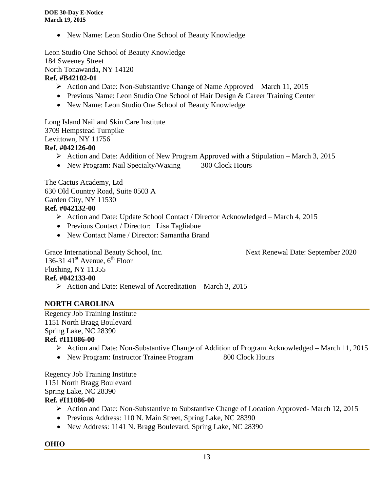• New Name: Leon Studio One School of Beauty Knowledge

Leon Studio One School of Beauty Knowledge 184 Sweeney Street North Tonawanda, NY 14120

### **Ref. #B42102-01**

- Action and Date: Non-Substantive Change of Name Approved March 11, 2015
- Previous Name: Leon Studio One School of Hair Design & Career Training Center
- New Name: Leon Studio One School of Beauty Knowledge

Long Island Nail and Skin Care Institute 3709 Hempstead Turnpike Levittown, NY 11756

#### **Ref. #042126-00**

- $\triangleright$  Action and Date: Addition of New Program Approved with a Stipulation March 3, 2015
- New Program: Nail Specialty/Waxing 300 Clock Hours

The Cactus Academy, Ltd 630 Old Country Road, Suite 0503 A Garden City, NY 11530 **Ref. #042132-00**

- $\triangleright$  Action and Date: Update School Contact / Director Acknowledged March 4, 2015
- Previous Contact / Director: Lisa Tagliabue
- New Contact Name / Director: Samantha Brand

Grace International Beauty School, Inc. Next Renewal Date: September 2020

136-31 41 $\mathrm{st}$  Avenue,  $6\mathrm{th}$  Floor Flushing, NY 11355 **Ref. #042133-00**

 $\triangleright$  Action and Date: Renewal of Accreditation – March 3, 2015

#### **NORTH CAROLINA**

Regency Job Training Institute 1151 North Bragg Boulevard Spring Lake, NC 28390

#### **Ref. #I11086-00**

- Action and Date: Non-Substantive Change of Addition of Program Acknowledged March 11, 2015
- New Program: Instructor Trainee Program 800 Clock Hours

Regency Job Training Institute 1151 North Bragg Boulevard Spring Lake, NC 28390

#### **Ref. #I11086-00**

- Action and Date: Non-Substantive to Substantive Change of Location Approved- March 12, 2015
- Previous Address: 110 N. Main Street, Spring Lake, NC 28390
- New Address: 1141 N. Bragg Boulevard, Spring Lake, NC 28390

#### **OHIO**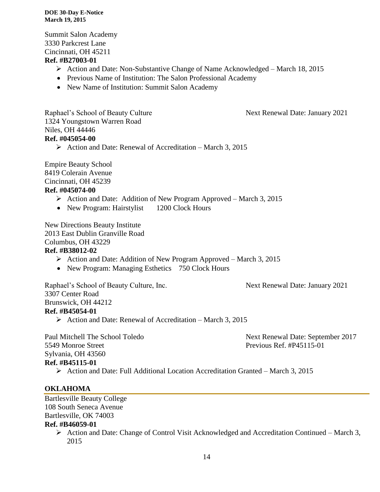Summit Salon Academy 3330 Parkcrest Lane Cincinnati, OH 45211

#### **Ref. #B27003-01**

- $\triangleright$  Action and Date: Non-Substantive Change of Name Acknowledged March 18, 2015
- Previous Name of Institution: The Salon Professional Academy
- New Name of Institution: Summit Salon Academy

Raphael's School of Beauty Culture Next Renewal Date: January 2021 1324 Youngstown Warren Road Niles, OH 44446

#### **Ref. #045054-00**

 $\triangleright$  Action and Date: Renewal of Accreditation – March 3, 2015

Empire Beauty School 8419 Colerain Avenue Cincinnati, OH 45239

#### **Ref. #045074-00**

- $\triangleright$  Action and Date: Addition of New Program Approved March 3, 2015
- New Program: Hairstylist 1200 Clock Hours

New Directions Beauty Institute

2013 East Dublin Granville Road

Columbus, OH 43229

#### **Ref. #B38012-02**

- $\triangleright$  Action and Date: Addition of New Program Approved March 3, 2015
- New Program: Managing Esthetics 750 Clock Hours

Raphael's School of Beauty Culture, Inc. Next Renewal Date: January 2021 3307 Center Road Brunswick, OH 44212 **Ref. #B45054-01** Action and Date: Renewal of Accreditation – March 3, 2015

5549 Monroe Street Previous Ref. #P45115-01 Sylvania, OH 43560

Paul Mitchell The School Toledo Next Renewal Date: September 2017

#### **Ref. #B45115-01**

Action and Date: Full Additional Location Accreditation Granted – March 3, 2015

#### **OKLAHOMA**

Bartlesville Beauty College 108 South Seneca Avenue Bartlesville, OK 74003

#### **Ref. #B46059-01**

 $\triangleright$  Action and Date: Change of Control Visit Acknowledged and Accreditation Continued – March 3, 2015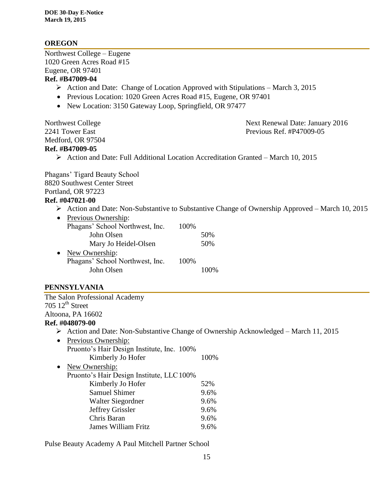## **OREGON**

Northwest College – Eugene 1020 Green Acres Road #15 Eugene, OR 97401 **Ref. #B47009-04**

- $\triangleright$  Action and Date: Change of Location Approved with Stipulations March 3, 2015
- Previous Location: 1020 Green Acres Road #15, Eugene, OR 97401
- New Location: 3150 Gateway Loop, Springfield, OR 97477

Medford, OR 97504

Northwest College Next Renewal Date: January 2016 2241 Tower East **Previous Ref. #P47009-05** 

#### **Ref. #B47009-05**

Action and Date: Full Additional Location Accreditation Granted – March 10, 2015

Phagans' Tigard Beauty School 8820 Southwest Center Street Portland, OR 97223

#### **Ref. #047021-00**

 $\triangleright$  Action and Date: Non-Substantive to Substantive Change of Ownership Approved – March 10, 2015

| $\bullet$ | Previous Ownership:             |      |     |
|-----------|---------------------------------|------|-----|
|           | Phagans' School Northwest, Inc. | 100% |     |
|           | John Olsen                      |      | 50% |
|           | Mary Jo Heidel-Olsen            |      | 50% |
| $\bullet$ | New Ownership:                  |      |     |
|           | Phagans' School Northwest, Inc. | 100% |     |
|           | John Olsen                      |      |     |

#### **PENNSYLVANIA**

The Salon Professional Academy  $705 \frac{12^{th}}{3}$  Street Altoona, PA 16602 **Ref. #048079-00**

Action and Date: Non-Substantive Change of Ownership Acknowledged – March 11, 2015

| $\bullet$ | <b>Previous Ownership:</b>                 |      |
|-----------|--------------------------------------------|------|
|           | Pruonto's Hair Design Institute, Inc. 100% |      |
|           | Kimberly Jo Hofer                          | 100% |
|           | New Ownership:                             |      |
|           | Pruonto's Hair Design Institute, LLC 100%  |      |
|           | Kimberly Jo Hofer                          | 52%  |
|           | <b>Samuel Shimer</b>                       | 9.6% |
|           | Walter Siegordner                          | 9.6% |
|           | Jeffrey Grissler                           | 9.6% |
|           | Chris Baran                                | 9.6% |
|           | <b>James William Fritz</b>                 | 9.6% |

Pulse Beauty Academy A Paul Mitchell Partner School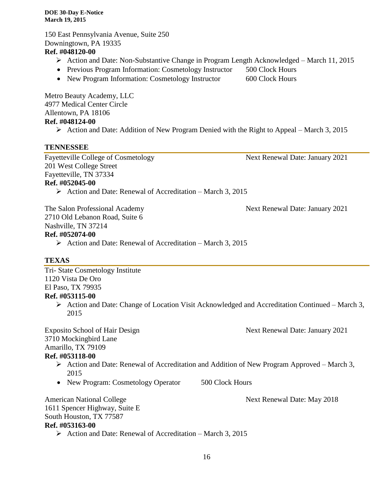150 East Pennsylvania Avenue, Suite 250 Downingtown, PA 19335 **Ref. #048120-00**

- Action and Date: Non-Substantive Change in Program Length Acknowledged March 11, 2015
- Previous Program Information: Cosmetology Instructor 500 Clock Hours
- New Program Information: Cosmetology Instructor 600 Clock Hours

Metro Beauty Academy, LLC 4977 Medical Center Circle Allentown, PA 18106 **Ref. #048124-00**

 $\triangleright$  Action and Date: Addition of New Program Denied with the Right to Appeal – March 3, 2015

#### **TENNESSEE**

Fayetteville College of Cosmetology Next Renewal Date: January 2021 201 West College Street Fayetteville, TN 37334 **Ref. #052045-00**

 $\triangleright$  Action and Date: Renewal of Accreditation – March 3, 2015

2710 Old Lebanon Road, Suite 6 Nashville, TN 37214

#### **Ref. #052074-00**

 $\triangleright$  Action and Date: Renewal of Accreditation – March 3, 2015

#### **TEXAS**

Tri- State Cosmetology Institute 1120 Vista De Oro El Paso, TX 79935

#### **Ref. #053115-00**

 $\triangleright$  Action and Date: Change of Location Visit Acknowledged and Accreditation Continued – March 3, 2015

Exposito School of Hair Design Next Renewal Date: January 2021 3710 Mockingbird Lane

Amarillo, TX 79109

#### **Ref. #053118-00**

- $\triangleright$  Action and Date: Renewal of Accreditation and Addition of New Program Approved March 3, 2015
- New Program: Cosmetology Operator 500 Clock Hours

American National College Next Renewal Date: May 2018 1611 Spencer Highway, Suite E South Houston, TX 77587 **Ref. #053163-00**  $\triangleright$  Action and Date: Renewal of Accreditation – March 3, 2015

The Salon Professional Academy Next Renewal Date: January 2021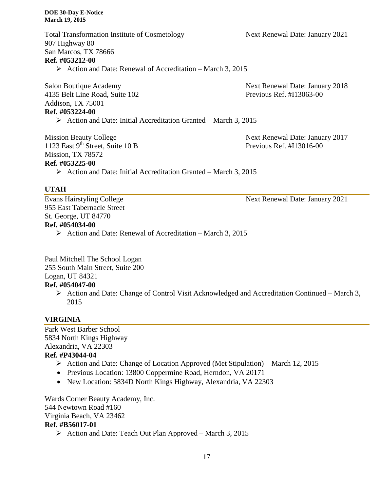Total Transformation Institute of Cosmetology Next Renewal Date: January 2021 907 Highway 80 San Marcos, TX 78666 **Ref. #053212-00**  $\triangleright$  Action and Date: Renewal of Accreditation – March 3, 2015

Salon Boutique Academy Next Renewal Date: January 2018 4135 Belt Line Road, Suite 102 Previous Ref. #I13063-00 Addison, TX 75001 **Ref. #053224-00**

 $\triangleright$  Action and Date: Initial Accreditation Granted – March 3, 2015

1123 East 9<sup>th</sup> Street, Suite 10 B Previous Ref. #I13016-00 Mission, TX 78572

Mission Beauty College Next Renewal Date: January 2017

# **Ref. #053225-00**

 $\triangleright$  Action and Date: Initial Accreditation Granted – March 3, 2015

#### **UTAH**

955 East Tabernacle Street St. George, UT 84770

#### **Ref. #054034-00**

 $\triangleright$  Action and Date: Renewal of Accreditation – March 3, 2015

Paul Mitchell The School Logan 255 South Main Street, Suite 200

# Logan, UT 84321

- **Ref. #054047-00**
	- $\triangleright$  Action and Date: Change of Control Visit Acknowledged and Accreditation Continued March 3, 2015

#### **VIRGINIA**

Park West Barber School 5834 North Kings Highway Alexandria, VA 22303 **Ref. #P43044-04**

- Action and Date: Change of Location Approved (Met Stipulation) March 12, 2015
- Previous Location: 13800 Coppermine Road, Herndon, VA 20171
- New Location: 5834D North Kings Highway, Alexandria, VA 22303

Wards Corner Beauty Academy, Inc. 544 Newtown Road #160 Virginia Beach, VA 23462

#### **Ref. #B56017-01**

 $\triangleright$  Action and Date: Teach Out Plan Approved – March 3, 2015

Evans Hairstyling College Next Renewal Date: January 2021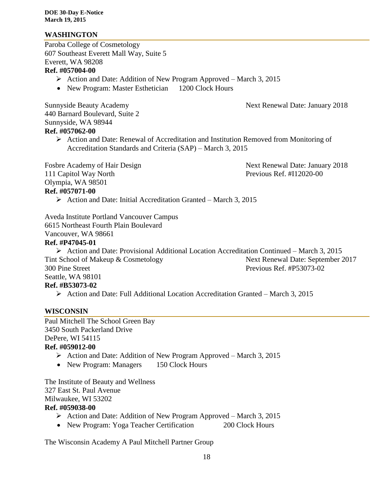#### **WASHINGTON**

Paroba College of Cosmetology 607 Southeast Everett Mall Way, Suite 5 Everett, WA 98208

#### **Ref. #057004-00**

- $\triangleright$  Action and Date: Addition of New Program Approved March 3, 2015
- New Program: Master Esthetician 1200 Clock Hours

Sunnyside Beauty Academy **Next Renewal Date: January 2018** 440 Barnard Boulevard, Suite 2 Sunnyside, WA 98944 **Ref. #057062-00**

 Action and Date: Renewal of Accreditation and Institution Removed from Monitoring of Accreditation Standards and Criteria (SAP) – March 3, 2015

111 Capitol Way North Previous Ref. #I12020-00 Olympia, WA 98501 **Ref. #057071-00**

Fosbre Academy of Hair Design Next Renewal Date: January 2018

 $\triangleright$  Action and Date: Initial Accreditation Granted – March 3, 2015

Aveda Institute Portland Vancouver Campus 6615 Northeast Fourth Plain Boulevard Vancouver, WA 98661

#### **Ref. #P47045-01**

 Action and Date: Provisional Additional Location Accreditation Continued – March 3, 2015 Tint School of Makeup & Cosmetology Next Renewal Date: September 2017 300 Pine Street Previous Ref. #P53073-02 Seattle, WA 98101 **Ref. #B53073-02**

Action and Date: Full Additional Location Accreditation Granted – March 3, 2015

#### **WISCONSIN**

Paul Mitchell The School Green Bay 3450 South Packerland Drive DePere, WI 54115 **Ref. #059012-00**

- $\triangleright$  Action and Date: Addition of New Program Approved March 3, 2015
- New Program: Managers 150 Clock Hours

The Institute of Beauty and Wellness 327 East St. Paul Avenue Milwaukee, WI 53202 **Ref. #059038-00**

- $\triangleright$  Action and Date: Addition of New Program Approved March 3, 2015
- New Program: Yoga Teacher Certification 200 Clock Hours

The Wisconsin Academy A Paul Mitchell Partner Group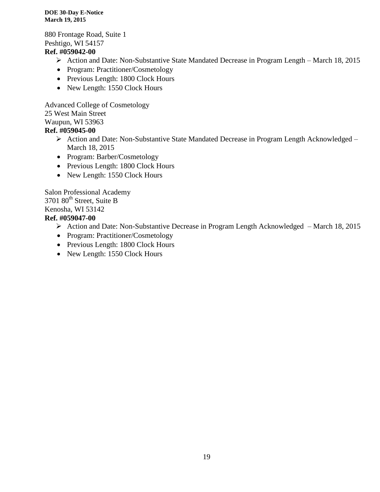880 Frontage Road, Suite 1 Peshtigo, WI 54157 **Ref. #059042-00**

- Action and Date: Non-Substantive State Mandated Decrease in Program Length March 18, 2015
- Program: Practitioner/Cosmetology
- Previous Length: 1800 Clock Hours
- New Length: 1550 Clock Hours

Advanced College of Cosmetology

25 West Main Street

Waupun, WI 53963

#### **Ref. #059045-00**

- Action and Date: Non-Substantive State Mandated Decrease in Program Length Acknowledged March 18, 2015
- Program: Barber/Cosmetology
- Previous Length: 1800 Clock Hours
- New Length: 1550 Clock Hours

Salon Professional Academy 3701 80<sup>th</sup> Street, Suite B Kenosha, WI 53142

#### **Ref. #059047-00**

- Action and Date: Non-Substantive Decrease in Program Length Acknowledged March 18, 2015
- Program: Practitioner/Cosmetology
- Previous Length: 1800 Clock Hours
- New Length: 1550 Clock Hours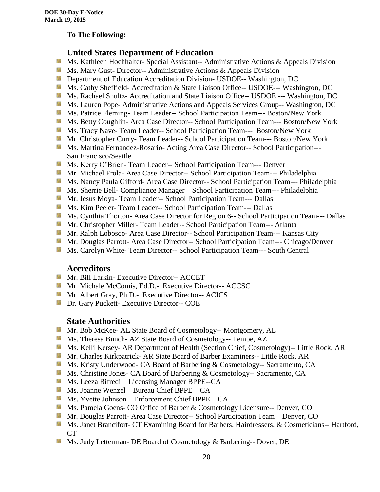#### **To The Following:**

## **United States Department of Education**

- **Ms. Kathleen Hochhalter- Special Assistant-- Administrative Actions & Appeals Division**
- **MS. Mary Gust- Director-- Administrative Actions & Appeals Division**
- **Department of Education Accreditation Division- USDOE-- Washington, DC**
- Ms. Cathy Sheffield- Accreditation & State Liaison Office-- USDOE--- Washington, DC
- **Ms. Rachael Shultz- Accreditation and State Liaison Office-- USDOE --- Washington, DC**
- Ms. Lauren Pope- Administrative Actions and Appeals Services Group-- Washington, DC
- Ms. Patrice Fleming-Team Leader-- School Participation Team--- Boston/New York
- **MS. Betty Coughlin- Area Case Director-- School Participation Team--- Boston/New York**
- **MS. Tracy Nave-Team Leader-- School Participation Team--- Boston/New York**
- **Mr. Christopher Curry- Team Leader-- School Participation Team--- Boston/New York**
- Ms. Martina Fernandez-Rosario- Acting Area Case Director-- School Participation---San Francisco/Seattle
- **Ms. Kerry O'Brien- Team Leader-- School Participation Team--- Denver**
- **Mr. Michael Frola- Area Case Director-- School Participation Team--- Philadelphia**
- **MS. Nancy Paula Gifford- Area Case Director-- School Participation Team--- Philadelphia**
- Ms. Sherrie Bell- Compliance Manager—School Participation Team--- Philadelphia
- Mr. Jesus Moya- Team Leader-- School Participation Team--- Dallas
- **MS. Kim Peeler- Team Leader-- School Participation Team--- Dallas**
- **Ms. Cynthia Thorton- Area Case Director for Region 6-- School Participation Team--- Dallas**
- **Mr.** Christopher Miller-Team Leader-- School Participation Team--- Atlanta
- **Mr. Ralph Lobosco- Area Case Director-- School Participation Team--- Kansas City**
- Mr. Douglas Parrott- Area Case Director-- School Participation Team--- Chicago/Denver
- **MS. Carolyn White-Team Director-- School Participation Team--- South Central**

#### **Accreditors**

- **Mr. Bill Larkin- Executive Director-- ACCET**
- **Mr. Michale McComis, Ed.D.- Executive Director-- ACCSC**
- Mr. Albert Gray, Ph.D.- Executive Director-- ACICS
- **Dr.** Gary Puckett- Executive Director-- COE

#### **State Authorities**

- **Mr.** Bob McKee- AL State Board of Cosmetology-- Montgomery, AL
- Ms. Theresa Bunch- AZ State Board of Cosmetology-- Tempe, AZ
- Ms. Kelli Kersey- AR Department of Health (Section Chief, Cosmetology)-- Little Rock, AR
- Mr. Charles Kirkpatrick- AR State Board of Barber Examiners-- Little Rock, AR
- Ms. Kristy Underwood- CA Board of Barbering & Cosmetology-- Sacramento, CA
- Ms. Christine Jones- CA Board of Barbering & Cosmetology-- Sacramento, CA
- **Ms. Leeza Rifredi** Licensing Manager BPPE--CA
- Ms. Joanne Wenzel Bureau Chief BPPE—CA
- Ms. Yvette Johnson Enforcement Chief BPPE CA
- **Ms. Pamela Goens- CO Office of Barber & Cosmetology Licensure-- Denver, CO**
- **Mr. Douglas Parrott- Area Case Director-- School Participation Team—Denver, CO**
- Ms. Janet Brancifort- CT Examining Board for Barbers, Hairdressers, & Cosmeticians-- Hartford, CT
- Ms. Judy Letterman- DE Board of Cosmetology & Barbering-- Dover, DE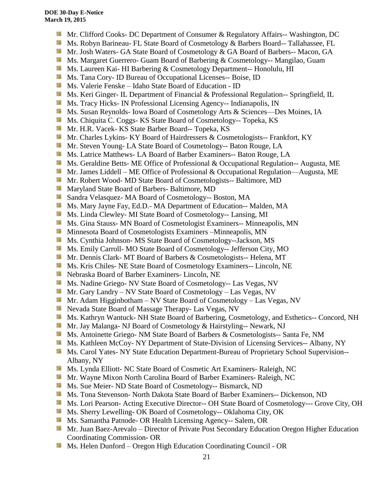- **Mr.** Clifford Cooks- DC Department of Consumer & Regulatory Affairs-- Washington, DC
- Ms. Robyn Barineau- FL State Board of Cosmetology & Barbers Board-- Tallahassee, FL
- Mr. Josh Waters- GA State Board of Cosmetology & GA Board of Barbers-- Macon, GA
- **Ms. Margaret Guerrero- Guam Board of Barbering & Cosmetology-- Mangilao, Guam**
- **MS.** Laureen Kai- HI Barbering & Cosmetology Department-- Honolulu, HI
- **Ms.** Tana Cory- ID Bureau of Occupational Licenses-- Boise, ID
- Ms. Valerie Fenske Idaho State Board of Education ID
- Ms. Keri Ginger- IL Department of Financial & Professional Regulation-- Springfield, IL
- SS. Ms. Tracy Hicks- IN Professional Licensing Agency-- Indianapolis, IN
- Ms. Susan Reynolds- Iowa Board of Cosmetology Arts & Sciences—Des Moines, IA
- **Ms.** Chiquita C. Coggs- KS State Board of Cosmetology-- Topeka, KS
- 56 Mr. H.R. Vacek- KS State Barber Board-- Topeka, KS
- Mr. Charles Lykins- KY Board of Hairdressers & Cosmetologists-- Frankfort, KY
- Mr. Steven Young- LA State Board of Cosmetology-- Baton Rouge, LA
- **Ms.** Latrice Matthews- LA Board of Barber Examiners-- Baton Rouge, LA
- **Ms.** Geraldine Betts- ME Office of Professional & Occupational Regulation-- Augusta, ME
- **Mr.** James Liddell ME Office of Professional & Occupational Regulation—Augusta, ME
- **Mr. Robert Wood- MD State Board of Cosmetologists-- Baltimore, MD**
- **Maryland State Board of Barbers- Baltimore, MD**
- Sandra Velasquez- MA Board of Cosmetology-- Boston, MA
- Ms. Mary Jayne Fay, Ed.D.- MA Department of Education-- Malden, MA
- Sila Ms. Linda Clewley- MI State Board of Cosmetology-- Lansing, MI
- **Ms.** Gina Stauss- MN Board of Cosmetologist Examiners-- Minneapolis, MN
- **M** Minnesota Board of Cosmetologists Examiners –Minneapolis, MN
- 59 Ms. Cynthia Johnson- MS State Board of Cosmetology--Jackson, MS
- Ms. Emily Carroll- MO State Board of Cosmetology-- Jefferson City, MO
- Mr. Dennis Clark- MT Board of Barbers & Cosmetologists-- Helena, MT
- Ms. Kris Chiles- NE State Board of Cosmetology Examiners-- Lincoln, NE
- Nebraska Board of Barber Examiners- Lincoln, NE
- **Ms. Nadine Griego- NV State Board of Cosmetology-- Las Vegas, NV**
- Mr. Gary Landry NV State Board of Cosmetology Las Vegas, NV
- **Mr.** Adam Higginbotham NV State Board of Cosmetology Las Vegas, NV
- **Nevada State Board of Massage Therapy- Las Vegas, NV**
- Ms. Kathryn Wantuck- NH State Board of Barbering, Cosmetology, and Esthetics-- Concord, NH
- Mr. Jay Malanga- NJ Board of Cosmetology & Hairstyling-- Newark, NJ
- Ms. Antoinette Griego- NM State Board of Barbers & Cosmetologists-- Santa Fe, NM
- **Ms. Kathleen McCoy- NY Department of State-Division of Licensing Services-- Albany, NY**
- **Ms. Carol Yates- NY State Education Department-Bureau of Proprietary School Supervision--**Albany, NY
- Ms. Lynda Elliott- NC State Board of Cosmetic Art Examiners- Raleigh, NC
- **Mr. Wayne Mixon North Carolina Board of Barber Examiners- Raleigh, NC**
- Ms. Sue Meier- ND State Board of Cosmetology-- Bismarck, ND
- Ms. Tona Stevenson- North Dakota State Board of Barber Examiners-- Dickenson, ND
- Ms. Lori Pearson- Acting Executive Director-- OH State Board of Cosmetology--- Grove City, OH
- Ms. Sherry Lewelling- OK Board of Cosmetology-- Oklahoma City, OK
- **Ms. Samantha Patnode- OR Health Licensing Agency-- Salem, OR**
- Mr. Juan Baez-Arevalo Director of Private Post Secondary Education Oregon Higher Education Coordinating Commission- OR
- 漆 Ms. Helen Dunford – Oregon High Education Coordinating Council - OR